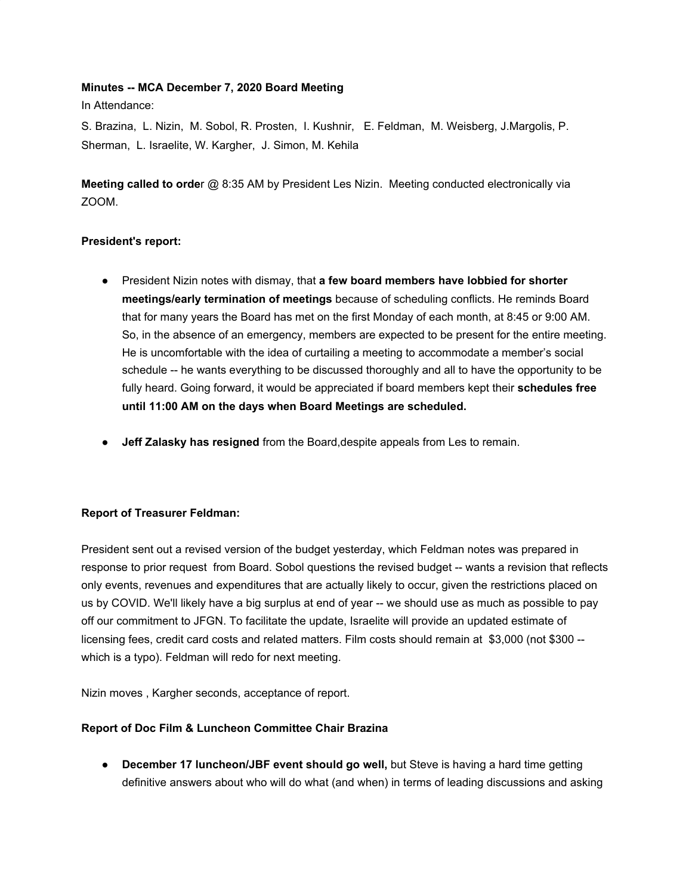## **Minutes -- MCA December 7, 2020 Board Meeting**

In Attendance:

S. Brazina, L. Nizin, M. Sobol, R. Prosten, I. Kushnir, E. Feldman, M. Weisberg, J.Margolis, P. Sherman, L. Israelite, W. Kargher, J. Simon, M. Kehila

**Meeting called to orde**r @ 8:35 AM by President Les Nizin. Meeting conducted electronically via ZOOM.

## **President's report:**

- President Nizin notes with dismay, that **a few board members have lobbied for shorter meetings/early termination of meetings** because of scheduling conflicts. He reminds Board that for many years the Board has met on the first Monday of each month, at 8:45 or 9:00 AM. So, in the absence of an emergency, members are expected to be present for the entire meeting. He is uncomfortable with the idea of curtailing a meeting to accommodate a member's social schedule -- he wants everything to be discussed thoroughly and all to have the opportunity to be fully heard. Going forward, it would be appreciated if board members kept their **schedules free until 11:00 AM on the days when Board Meetings are scheduled.**
- **Jeff Zalasky has resigned** from the Board,despite appeals from Les to remain.

# **Report of Treasurer Feldman:**

President sent out a revised version of the budget yesterday, which Feldman notes was prepared in response to prior request from Board. Sobol questions the revised budget -- wants a revision that reflects only events, revenues and expenditures that are actually likely to occur, given the restrictions placed on us by COVID. We'll likely have a big surplus at end of year -- we should use as much as possible to pay off our commitment to JFGN. To facilitate the update, Israelite will provide an updated estimate of licensing fees, credit card costs and related matters. Film costs should remain at \$3,000 (not \$300 - which is a typo). Feldman will redo for next meeting.

Nizin moves , Kargher seconds, acceptance of report.

## **Report of Doc Film & Luncheon Committee Chair Brazina**

● **December 17 luncheon/JBF event should go well,** but Steve is having a hard time getting definitive answers about who will do what (and when) in terms of leading discussions and asking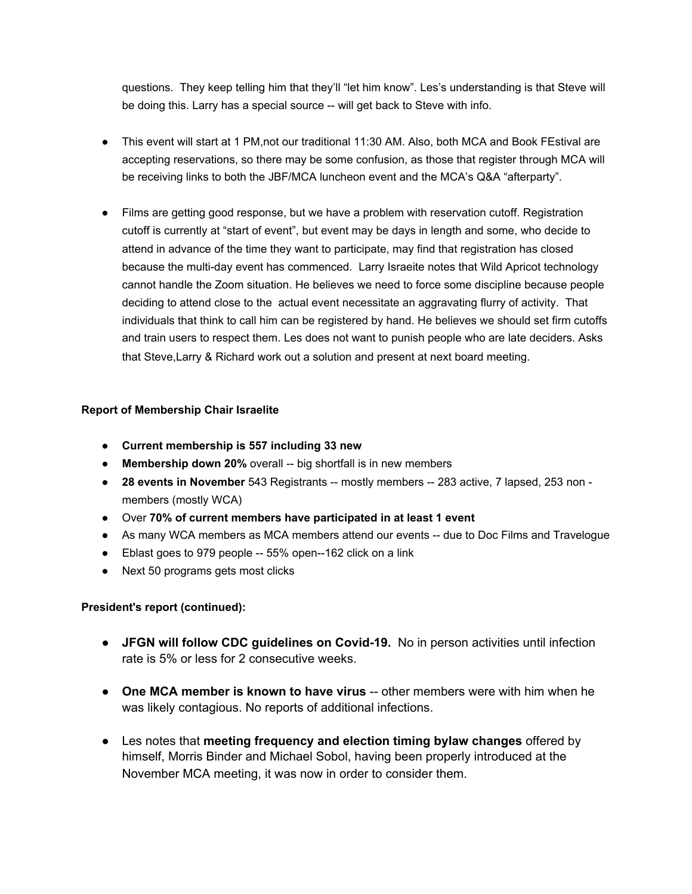questions. They keep telling him that they'll "let him know". Les's understanding is that Steve will be doing this. Larry has a special source -- will get back to Steve with info.

- This event will start at 1 PM,not our traditional 11:30 AM. Also, both MCA and Book FEstival are accepting reservations, so there may be some confusion, as those that register through MCA will be receiving links to both the JBF/MCA luncheon event and the MCA's Q&A "afterparty".
- Films are getting good response, but we have a problem with reservation cutoff. Registration cutoff is currently at "start of event", but event may be days in length and some, who decide to attend in advance of the time they want to participate, may find that registration has closed because the multi-day event has commenced. Larry Israeite notes that Wild Apricot technology cannot handle the Zoom situation. He believes we need to force some discipline because people deciding to attend close to the actual event necessitate an aggravating flurry of activity. That individuals that think to call him can be registered by hand. He believes we should set firm cutoffs and train users to respect them. Les does not want to punish people who are late deciders. Asks that Steve,Larry & Richard work out a solution and present at next board meeting.

## **Report of Membership Chair Israelite**

- **● Current membership is 557 including 33 new**
- **Membership down 20%** overall -- big shortfall is in new members
- **28 events in November** 543 Registrants -- mostly members -- 283 active, 7 lapsed, 253 non members (mostly WCA)
- Over **70% of current members have participated in at least 1 event**
- As many WCA members as MCA members attend our events -- due to Doc Films and Travelogue
- Eblast goes to 979 people -- 55% open--162 click on a link
- Next 50 programs gets most clicks

## **President's report (continued):**

- **JFGN will follow CDC guidelines on Covid-19.** No in person activities until infection rate is 5% or less for 2 consecutive weeks.
- **One MCA member is known to have virus** -- other members were with him when he was likely contagious. No reports of additional infections.
- Les notes that **meeting frequency and election timing bylaw changes** offered by himself, Morris Binder and Michael Sobol, having been properly introduced at the November MCA meeting, it was now in order to consider them.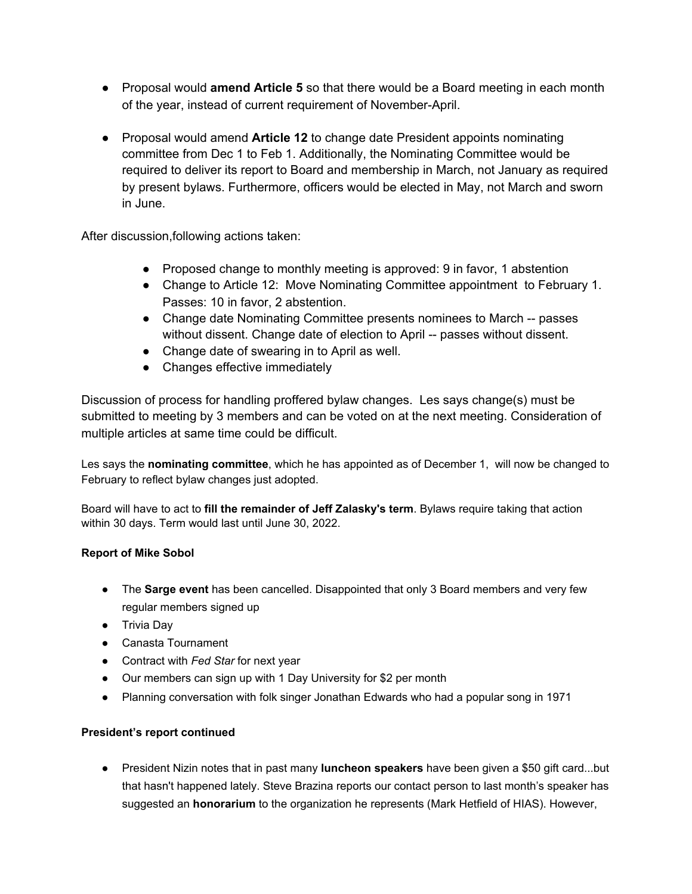- Proposal would **amend Article 5** so that there would be a Board meeting in each month of the year, instead of current requirement of November-April.
- Proposal would amend **Article 12** to change date President appoints nominating committee from Dec 1 to Feb 1. Additionally, the Nominating Committee would be required to deliver its report to Board and membership in March, not January as required by present bylaws. Furthermore, officers would be elected in May, not March and sworn in June.

After discussion,following actions taken:

- Proposed change to monthly meeting is approved: 9 in favor, 1 abstention
- Change to Article 12: Move Nominating Committee appointment to February 1. Passes: 10 in favor, 2 abstention.
- Change date Nominating Committee presents nominees to March -- passes without dissent. Change date of election to April -- passes without dissent.
- Change date of swearing in to April as well.
- Changes effective immediately

Discussion of process for handling proffered bylaw changes. Les says change(s) must be submitted to meeting by 3 members and can be voted on at the next meeting. Consideration of multiple articles at same time could be difficult.

Les says the **nominating committee**, which he has appointed as of December 1, will now be changed to February to reflect bylaw changes just adopted.

Board will have to act to **fill the remainder of Jeff Zalasky's term**. Bylaws require taking that action within 30 days. Term would last until June 30, 2022.

# **Report of Mike Sobol**

- The **Sarge event** has been cancelled. Disappointed that only 3 Board members and very few regular members signed up
- Trivia Day
- Canasta Tournament
- Contract with *Fed Star* for next year
- Our members can sign up with 1 Day University for \$2 per month
- Planning conversation with folk singer Jonathan Edwards who had a popular song in 1971

## **President's report continued**

● President Nizin notes that in past many **luncheon speakers** have been given a \$50 gift card...but that hasn't happened lately. Steve Brazina reports our contact person to last month's speaker has suggested an **honorarium** to the organization he represents (Mark Hetfield of HIAS). However,